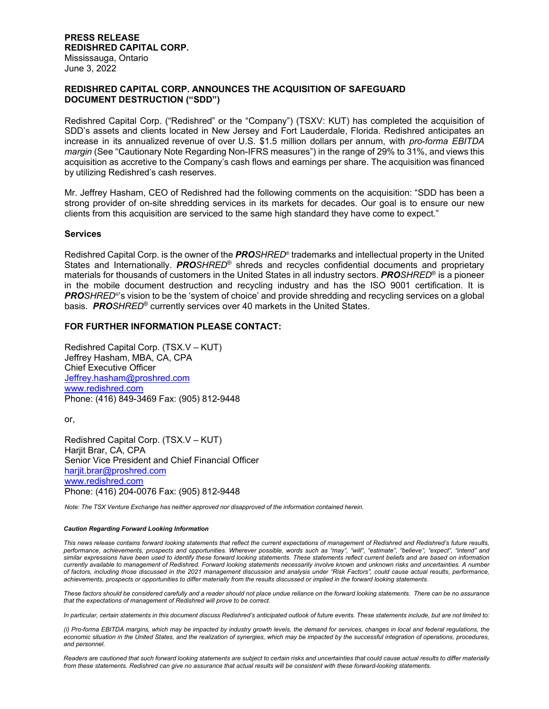# **REDISHRED CAPITAL CORP. ANNOUNCES THE ACQUISITION OF SAFEGUARD DOCUMENT DESTRUCTION ("SDD")**

Redishred Capital Corp. ("Redishred" or the "Company") (TSXV: KUT) has completed the acquisition of SDD's assets and clients located in New Jersey and Fort Lauderdale, Florida. Redishred anticipates an increase in its annualized revenue of over U.S. \$1.5 million dollars per annum, with *pro-forma EBITDA margin* (See "Cautionary Note Regarding Non-IFRS measures") in the range of 29% to 31%, and views this acquisition as accretive to the Company's cash flows and earnings per share. The acquisition was financed by utilizing Redishred's cash reserves.

Mr. Jeffrey Hasham, CEO of Redishred had the following comments on the acquisition: "SDD has been a strong provider of on-site shredding services in its markets for decades. Our goal is to ensure our new clients from this acquisition are serviced to the same high standard they have come to expect."

## **Services**

Redishred Capital Corp. is the owner of the *PROSHRED*® trademarks and intellectual property in the United States and Internationally. *PROSHRED*® shreds and recycles confidential documents and proprietary materials for thousands of customers in the United States in all industry sectors. *PROSHRED*® is a pioneer in the mobile document destruction and recycling industry and has the ISO 9001 certification. It is *PROSHRED*®'s vision to be the 'system of choice' and provide shredding and recycling services on a global basis. *PROSHRED*® currently services over 40 markets in the United States.

## **FOR FURTHER INFORMATION PLEASE CONTACT:**

Redishred Capital Corp. (TSX.V – KUT) Jeffrey Hasham, MBA, CA, CPA Chief Executive Officer Jeffrey.hasham@proshred.com www.redishred.com Phone: (416) 849-3469 Fax: (905) 812-9448

or,

Redishred Capital Corp. (TSX.V – KUT) Harjit Brar, CA, CPA Senior Vice President and Chief Financial Officer hariit.brar@proshred.com www.redishred.com Phone: (416) 204-0076 Fax: (905) 812-9448

*Note: The TSX Venture Exchange has neither approved nor disapproved of the information contained herein.* 

#### *Caution Regarding Forward Looking Information*

*This news release contains forward looking statements that reflect the current expectations of management of Redishred and Redishred's future results, performance, achievements, prospects and opportunities. Wherever possible, words such as "may", "will", "estimate", "believe", "expect", "intend" and similar expressions have been used to identify these forward looking statements. These statements reflect current beliefs and are based on information currently available to management of Redishred. Forward looking statements necessarily involve known and unknown risks and uncertainties. A number of factors, including those discussed in the 2021 management discussion and analysis under "Risk Factors", could cause actual results, performance, achievements, prospects or opportunities to differ materially from the results discussed or implied in the forward looking statements.* 

*These factors should be considered carefully and a reader should not place undue reliance on the forward looking statements. There can be no assurance that the expectations of management of Redishred will prove to be correct.* 

*In particular, certain statements in this document discuss Redishred's anticipated outlook of future events. These statements include, but are not limited to:* 

*(i) Pro-forma EBITDA margins, which may be impacted by industry growth levels, the demand for services, changes in local and federal regulations, the*  economic situation in the United States, and the realization of synergies, which may be impacted by the successful integration of operations, procedures, *and personnel.* 

*Readers are cautioned that such forward looking statements are subject to certain risks and uncertainties that could cause actual results to differ materially from these statements. Redishred can give no assurance that actual results will be consistent with these forward-looking statements.*